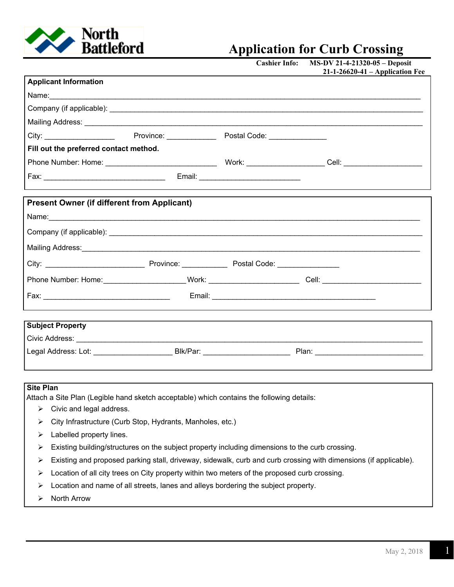

# **Application for Curb Crossing**

|                  |                                                                                                                       |  |  | Cashier Info: MS-DV 21-4-21320-05 - Deposit<br>$21-1-26620-41$ – Application Fee                               |  |
|------------------|-----------------------------------------------------------------------------------------------------------------------|--|--|----------------------------------------------------------------------------------------------------------------|--|
|                  | <b>Applicant Information</b>                                                                                          |  |  |                                                                                                                |  |
|                  | Name: Name:                                                                                                           |  |  |                                                                                                                |  |
|                  |                                                                                                                       |  |  |                                                                                                                |  |
|                  |                                                                                                                       |  |  |                                                                                                                |  |
|                  |                                                                                                                       |  |  |                                                                                                                |  |
|                  | Fill out the preferred contact method.                                                                                |  |  |                                                                                                                |  |
|                  |                                                                                                                       |  |  |                                                                                                                |  |
|                  |                                                                                                                       |  |  |                                                                                                                |  |
|                  |                                                                                                                       |  |  |                                                                                                                |  |
|                  | <b>Present Owner (if different from Applicant)</b>                                                                    |  |  |                                                                                                                |  |
|                  |                                                                                                                       |  |  |                                                                                                                |  |
|                  |                                                                                                                       |  |  |                                                                                                                |  |
|                  |                                                                                                                       |  |  |                                                                                                                |  |
|                  |                                                                                                                       |  |  |                                                                                                                |  |
|                  |                                                                                                                       |  |  | Phone Number: Home: _____________________Work: _________________________________ Cell: _______________________ |  |
|                  |                                                                                                                       |  |  |                                                                                                                |  |
|                  |                                                                                                                       |  |  |                                                                                                                |  |
|                  | <b>Subject Property</b>                                                                                               |  |  |                                                                                                                |  |
|                  |                                                                                                                       |  |  |                                                                                                                |  |
|                  |                                                                                                                       |  |  |                                                                                                                |  |
|                  |                                                                                                                       |  |  |                                                                                                                |  |
| <b>Site Plan</b> |                                                                                                                       |  |  |                                                                                                                |  |
| ➤                | Attach a Site Plan (Legible hand sketch acceptable) which contains the following details:<br>Civic and legal address. |  |  |                                                                                                                |  |
|                  | City Infrastructure (Curb Stop, Hydrants, Manholes, etc.)<br>➤                                                        |  |  |                                                                                                                |  |
|                  | Labelled property lines.<br>➤                                                                                         |  |  |                                                                                                                |  |
|                  | Existing building/structures on the subject property including dimensions to the curb crossing.<br>➤                  |  |  |                                                                                                                |  |
| ➤                | Existing and proposed parking stall, driveway, sidewalk, curb and curb crossing with dimensions (if applicable).      |  |  |                                                                                                                |  |
| ➤                | Location of all city trees on City property within two meters of the proposed curb crossing.                          |  |  |                                                                                                                |  |
|                  | Location and name of all streets, lanes and alleys bordering the subject property.<br>➤                               |  |  |                                                                                                                |  |
| ➤                | North Arrow                                                                                                           |  |  |                                                                                                                |  |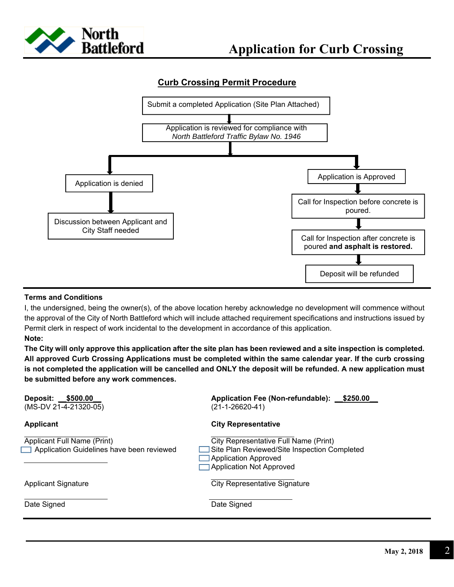

# **Curb Crossing Permit Procedure**



## **Terms and Conditions**

I, the undersigned, being the owner(s), of the above location hereby acknowledge no development will commence without the approval of the City of North Battleford which will include attached requirement specifications and instructions issued by Permit clerk in respect of work incidental to the development in accordance of this application.

# **Note:**

**The City will only approve this application after the site plan has been reviewed and a site inspection is completed. All approved Curb Crossing Applications must be completed within the same calendar year. If the curb crossing is not completed the application will be cancelled and ONLY the deposit will be refunded. A new application must be submitted before any work commences.** 

| <b>Deposit: \$500.00</b><br>(MS-DV 21-4-21320-05)                        | Application Fee (Non-refundable): __\$250.00<br>$(21-1-26620-41)$                                                                                       |
|--------------------------------------------------------------------------|---------------------------------------------------------------------------------------------------------------------------------------------------------|
| <b>Applicant</b>                                                         | <b>City Representative</b>                                                                                                                              |
| Applicant Full Name (Print)<br>Application Guidelines have been reviewed | <b>City Representative Full Name (Print)</b><br>Site Plan Reviewed/Site Inspection Completed<br>$\Box$ Application Approved<br>Application Not Approved |
| Applicant Signature                                                      | <b>City Representative Signature</b>                                                                                                                    |
| Date Signed                                                              | Date Signed                                                                                                                                             |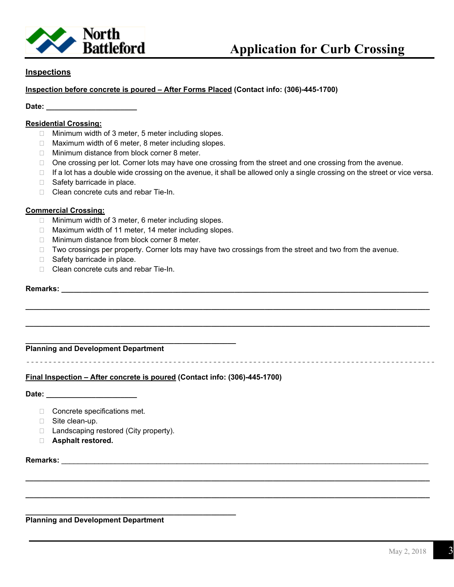

## **Inspections**

# **Inspection before concrete is poured – After Forms Placed (Contact info: (306)-445-1700)**

**Date: \_\_\_\_\_\_\_\_\_\_\_\_\_\_\_\_\_\_\_\_\_\_**

### **Residential Crossing:**

- $\Box$  Minimum width of 3 meter, 5 meter including slopes.
- $\Box$  Maximum width of 6 meter, 8 meter including slopes.
- □ Minimum distance from block corner 8 meter.
- $\Box$  One crossing per lot. Corner lots may have one crossing from the street and one crossing from the avenue.
- $\Box$  If a lot has a double wide crossing on the avenue, it shall be allowed only a single crossing on the street or vice versa.
- $\Box$  Safety barricade in place.
- □ Clean concrete cuts and rebar Tie-In.

#### **Commercial Crossing:**

- $\Box$  Minimum width of 3 meter, 6 meter including slopes.
- $\Box$  Maximum width of 11 meter, 14 meter including slopes.
- □ Minimum distance from block corner 8 meter.
- $\Box$  Two crossings per property. Corner lots may have two crossings from the street and two from the avenue.

**\_\_\_\_\_\_\_\_\_\_\_\_\_\_\_\_\_\_\_\_\_\_\_\_\_\_\_\_\_\_\_\_\_\_\_\_\_\_\_\_\_\_\_\_\_\_\_\_\_\_\_\_\_\_\_\_\_\_\_\_\_\_\_\_\_\_\_\_\_\_\_\_\_\_\_\_\_\_\_\_\_\_\_\_\_\_\_\_\_\_\_\_\_\_\_\_\_\_** 

**\_\_\_\_\_\_\_\_\_\_\_\_\_\_\_\_\_\_\_\_\_\_\_\_\_\_\_\_\_\_\_\_\_\_\_\_\_\_\_\_\_\_\_\_\_\_\_\_\_\_\_\_\_\_\_\_\_\_\_\_\_\_\_\_\_\_\_\_\_\_\_\_\_\_\_\_\_\_\_\_\_\_\_\_\_\_\_\_\_\_\_\_\_\_\_\_\_\_** 

**\_\_\_\_\_\_\_\_\_\_\_\_\_\_\_\_\_\_\_\_\_\_\_\_\_\_\_\_\_\_\_\_\_\_\_\_\_\_\_\_\_\_\_\_\_\_\_\_\_\_\_\_\_\_\_\_\_\_\_\_\_\_\_\_\_\_\_\_\_\_\_\_\_\_\_\_\_\_\_\_\_\_\_\_\_\_\_\_\_\_\_\_\_\_\_\_\_\_** 

**\_\_\_\_\_\_\_\_\_\_\_\_\_\_\_\_\_\_\_\_\_\_\_\_\_\_\_\_\_\_\_\_\_\_\_\_\_\_\_\_\_\_\_\_\_\_\_\_\_\_\_\_\_\_\_\_\_\_\_\_\_\_\_\_\_\_\_\_\_\_\_\_\_\_\_\_\_\_\_\_\_\_\_\_\_\_\_\_\_\_\_\_\_\_\_\_\_\_** 

- $\Box$  Safety barricade in place.
- □ Clean concrete cuts and rebar Tie-In.

#### **Remarks:** *Remarks:**<b>Properties: Properties: Properties: Properties: Properties: Properties: Properties: Properties: Properties: Properties: Properties: Properties: Properties: Properties: P*

#### **\_\_\_\_\_\_\_\_\_\_\_\_\_\_\_\_\_\_\_\_\_\_\_\_\_\_\_\_\_\_\_\_\_\_\_\_\_\_\_\_\_\_\_\_\_\_\_\_\_\_\_ Planning and Development Department**

**Final Inspection – After concrete is poured (Contact info: (306)-445-1700)**

**Date: \_\_\_\_\_\_\_\_\_\_\_\_\_\_\_\_\_\_\_\_\_\_** 

- □ Concrete specifications met.
- □ Site clean-up.
- □ Landscaping restored (City property).
- **Asphalt restored.**

#### **Remarks:** <u>**with the contract of the contract of the contract of the contract of the contract of the contract of the contract of the contract of the contract of the contract of the contract of the contract of the contract</u>**

**Planning and Development Department**

**\_\_\_\_\_\_\_\_\_\_\_\_\_\_\_\_\_\_\_\_\_\_\_\_\_\_\_\_\_\_\_\_\_\_\_\_\_\_\_\_\_\_\_\_\_\_\_\_\_\_\_**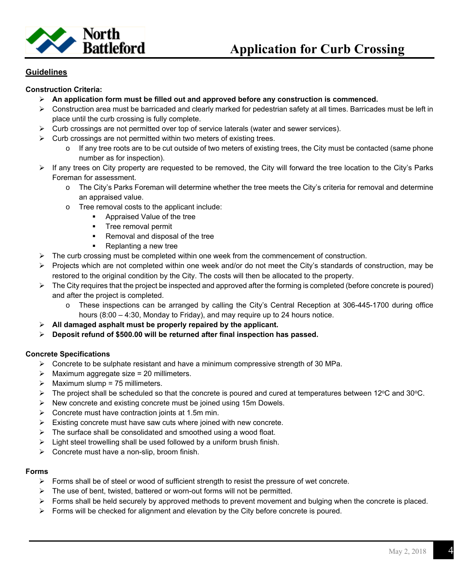

# **Guidelines**

#### **Construction Criteria:**

- **An application form must be filled out and approved before any construction is commenced.**
- $\triangleright$  Construction area must be barricaded and clearly marked for pedestrian safety at all times. Barricades must be left in place until the curb crossing is fully complete.
- $\triangleright$  Curb crossings are not permitted over top of service laterals (water and sewer services).
- $\triangleright$  Curb crossings are not permitted within two meters of existing trees.
	- $\circ$  If any tree roots are to be cut outside of two meters of existing trees, the City must be contacted (same phone number as for inspection).
- $\triangleright$  If any trees on City property are requested to be removed, the City will forward the tree location to the City's Parks Foreman for assessment.
	- o The City's Parks Foreman will determine whether the tree meets the City's criteria for removal and determine an appraised value.
	- o Tree removal costs to the applicant include:
		- **Appraised Value of the tree**
		- **Tree removal permit**
		- **Removal and disposal of the tree**
		- Replanting a new tree
- $\triangleright$  The curb crossing must be completed within one week from the commencement of construction.
- $\triangleright$  Projects which are not completed within one week and/or do not meet the City's standards of construction, may be restored to the original condition by the City. The costs will then be allocated to the property.
- $\triangleright$  The City requires that the project be inspected and approved after the forming is completed (before concrete is poured) and after the project is completed.
	- o These inspections can be arranged by calling the City's Central Reception at 306-445-1700 during office hours (8:00 – 4:30, Monday to Friday), and may require up to 24 hours notice.
- **All damaged asphalt must be properly repaired by the applicant.**
- **Deposit refund of \$500.00 will be returned after final inspection has passed.**

#### **Concrete Specifications**

- $\triangleright$  Concrete to be sulphate resistant and have a minimum compressive strength of 30 MPa.
- $\triangleright$  Maximum aggregate size = 20 millimeters.
- $\geq$  Maximum slump = 75 millimeters.
- $\triangleright$  The project shall be scheduled so that the concrete is poured and cured at temperatures between 12 $\degree$ C and 30 $\degree$ C.
- $\triangleright$  New concrete and existing concrete must be joined using 15m Dowels.
- $\triangleright$  Concrete must have contraction joints at 1.5m min.
- $\triangleright$  Existing concrete must have saw cuts where joined with new concrete.
- $\triangleright$  The surface shall be consolidated and smoothed using a wood float.
- $\triangleright$  Light steel trowelling shall be used followed by a uniform brush finish.
- $\triangleright$  Concrete must have a non-slip, broom finish.

#### **Forms**

- $\triangleright$  Forms shall be of steel or wood of sufficient strength to resist the pressure of wet concrete.
- $\triangleright$  The use of bent, twisted, battered or worn-out forms will not be permitted.
- $\triangleright$  Forms shall be held securely by approved methods to prevent movement and bulging when the concrete is placed.
- $\triangleright$  Forms will be checked for alignment and elevation by the City before concrete is poured.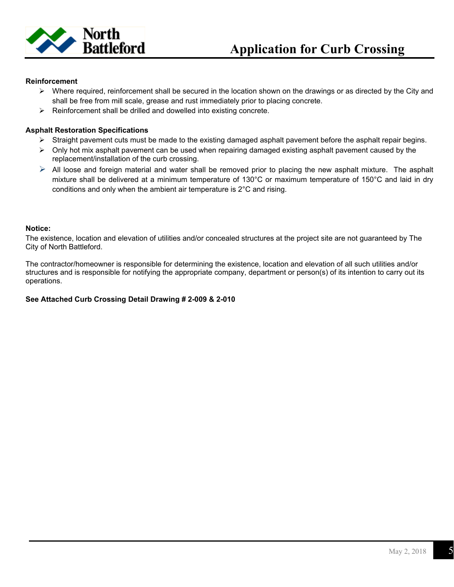

#### **Reinforcement**

- $\triangleright$  Where required, reinforcement shall be secured in the location shown on the drawings or as directed by the City and shall be free from mill scale, grease and rust immediately prior to placing concrete.
- $\triangleright$  Reinforcement shall be drilled and dowelled into existing concrete.

#### **Asphalt Restoration Specifications**

- $\triangleright$  Straight pavement cuts must be made to the existing damaged asphalt pavement before the asphalt repair begins.
- $\triangleright$  Only hot mix asphalt pavement can be used when repairing damaged existing asphalt pavement caused by the replacement/installation of the curb crossing.
- $\triangleright$  All loose and foreign material and water shall be removed prior to placing the new asphalt mixture. The asphalt mixture shall be delivered at a minimum temperature of 130°C or maximum temperature of 150°C and laid in dry conditions and only when the ambient air temperature is 2°C and rising.

#### **Notice:**

The existence, location and elevation of utilities and/or concealed structures at the project site are not guaranteed by The City of North Battleford.

The contractor/homeowner is responsible for determining the existence, location and elevation of all such utilities and/or structures and is responsible for notifying the appropriate company, department or person(s) of its intention to carry out its operations.

#### **See Attached Curb Crossing Detail Drawing # 2-009 & 2-010**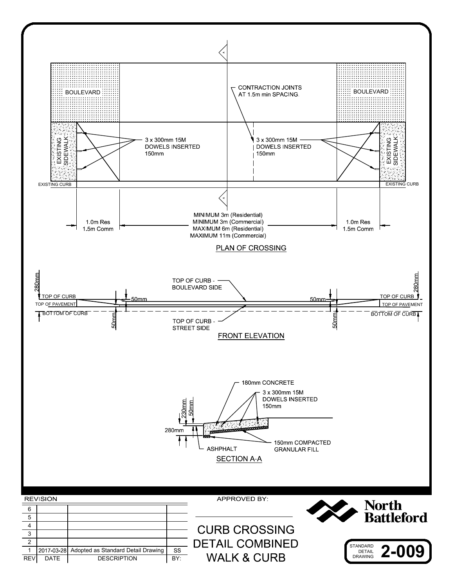